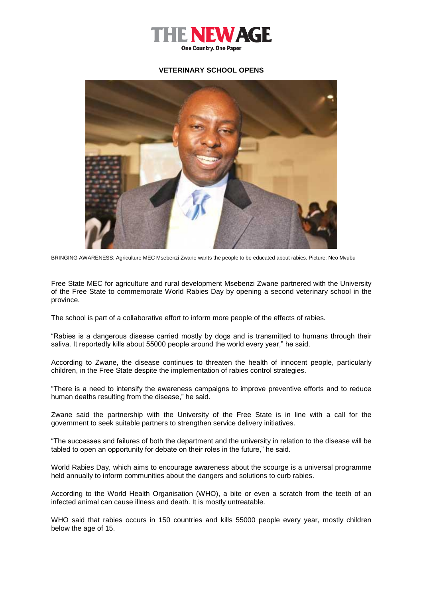

## **VETERINARY SCHOOL OPENS**



BRINGING AWARENESS: Agriculture MEC Msebenzi Zwane wants the people to be educated about rabies. Picture: Neo Mvubu

Free State MEC for agriculture and rural development Msebenzi Zwane partnered with the University of the Free State to commemorate World Rabies Day by opening a second veterinary school in the province.

The school is part of a collaborative effort to inform more people of the effects of rabies.

"Rabies is a dangerous disease carried mostly by dogs and is transmitted to humans through their saliva. It reportedly kills about 55000 people around the world every year," he said.

According to Zwane, the disease continues to threaten the health of innocent people, particularly children, in the Free State despite the implementation of rabies control strategies.

"There is a need to intensify the awareness campaigns to improve preventive efforts and to reduce human deaths resulting from the disease," he said.

Zwane said the partnership with the University of the Free State is in line with a call for the government to seek suitable partners to strengthen service delivery initiatives.

"The successes and failures of both the department and the university in relation to the disease will be tabled to open an opportunity for debate on their roles in the future," he said.

World Rabies Day, which aims to encourage awareness about the scourge is a universal programme held annually to inform communities about the dangers and solutions to curb rabies.

According to the World Health Organisation (WHO), a bite or even a scratch from the teeth of an infected animal can cause illness and death. It is mostly untreatable.

WHO said that rabies occurs in 150 countries and kills 55000 people every year, mostly children below the age of 15.